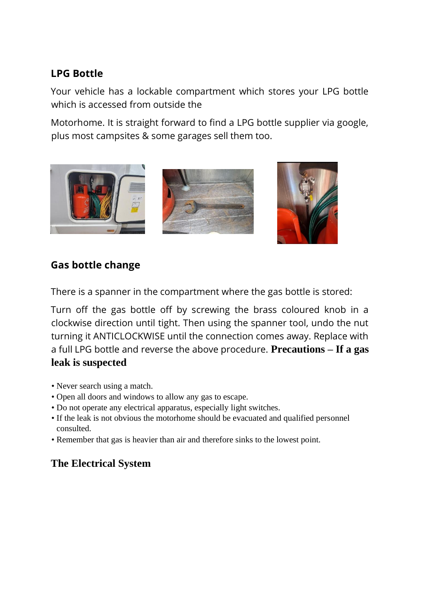# **LPG Bottle**

Your vehicle has a lockable compartment which stores your LPG bottle which is accessed from outside the

Motorhome. It is straight forward to find a LPG bottle supplier via google, plus most campsites & some garages sell them too.



# **Gas bottle change**

There is a spanner in the compartment where the gas bottle is stored:

Turn off the gas bottle off by screwing the brass coloured knob in a clockwise direction until tight. Then using the spanner tool, undo the nut turning it ANTICLOCKWISE until the connection comes away. Replace with a full LPG bottle and reverse the above procedure. **Precautions – If a gas leak is suspected**

- Never search using a match.
- Open all doors and windows to allow any gas to escape.
- Do not operate any electrical apparatus, especially light switches.
- If the leak is not obvious the motorhome should be evacuated and qualified personnel consulted.
- Remember that gas is heavier than air and therefore sinks to the lowest point.

# **The Electrical System**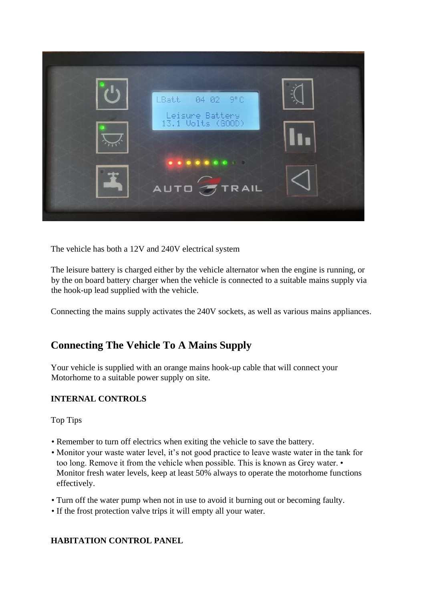

The vehicle has both a 12V and 240V electrical system

The leisure battery is charged either by the vehicle alternator when the engine is running, or by the on board battery charger when the vehicle is connected to a suitable mains supply via the hook-up lead supplied with the vehicle.

Connecting the mains supply activates the 240V sockets, as well as various mains appliances.

## **Connecting The Vehicle To A Mains Supply**

Your vehicle is supplied with an orange mains hook-up cable that will connect your Motorhome to a suitable power supply on site.

#### **INTERNAL CONTROLS**

Top Tips

- Remember to turn off electrics when exiting the vehicle to save the battery.
- Monitor your waste water level, it's not good practice to leave waste water in the tank for too long. Remove it from the vehicle when possible. This is known as Grey water. • Monitor fresh water levels, keep at least 50% always to operate the motorhome functions effectively.
- Turn off the water pump when not in use to avoid it burning out or becoming faulty.
- If the frost protection valve trips it will empty all your water.

#### **HABITATION CONTROL PANEL**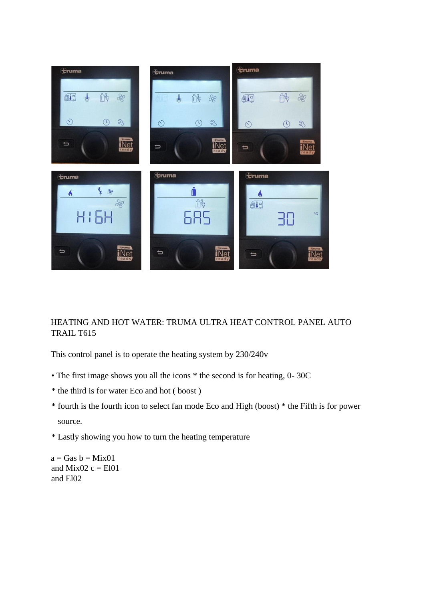

#### HEATING AND HOT WATER: TRUMA ULTRA HEAT CONTROL PANEL AUTO TRAIL T615

This control panel is to operate the heating system by 230/240v

- The first image shows you all the icons \* the second is for heating, 0- 30C
- \* the third is for water Eco and hot ( boost )
- \* fourth is the fourth icon to select fan mode Eco and High (boost) \* the Fifth is for power source.
- \* Lastly showing you how to turn the heating temperature

 $a = Gas b = Mix01$ and Mix02  $c = E101$ and El02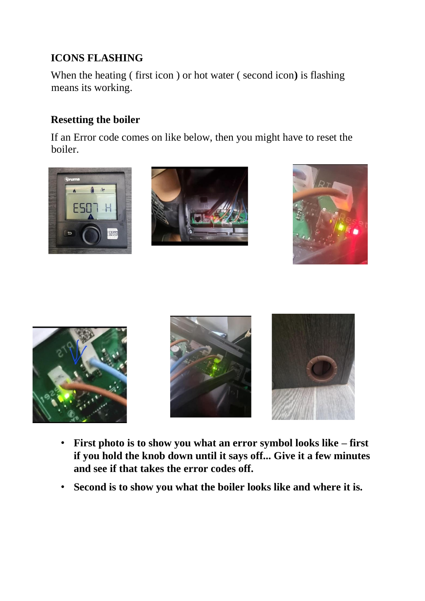# **ICONS FLASHING**

When the heating ( first icon ) or hot water ( second icon**)** is flashing means its working.

# **Resetting the boiler**

If an Error code comes on like below, then you might have to reset the boiler.











- **First photo is to show you what an error symbol looks like – first if you hold the knob down until it says off... Give it a few minutes and see if that takes the error codes off.**
- **Second is to show you what the boiler looks like and where it is.**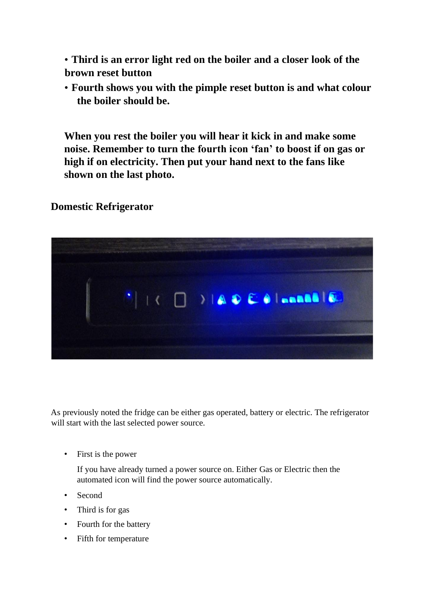• **Third is an error light red on the boiler and a closer look of the brown reset button**

• **Fourth shows you with the pimple reset button is and what colour the boiler should be.** 

**When you rest the boiler you will hear it kick in and make some noise. Remember to turn the fourth icon 'fan' to boost if on gas or high if on electricity. Then put your hand next to the fans like shown on the last photo.**

### **Domestic Refrigerator**



As previously noted the fridge can be either gas operated, battery or electric. The refrigerator will start with the last selected power source.

• First is the power

If you have already turned a power source on. Either Gas or Electric then the automated icon will find the power source automatically.

- Second
- Third is for gas
- Fourth for the battery
- Fifth for temperature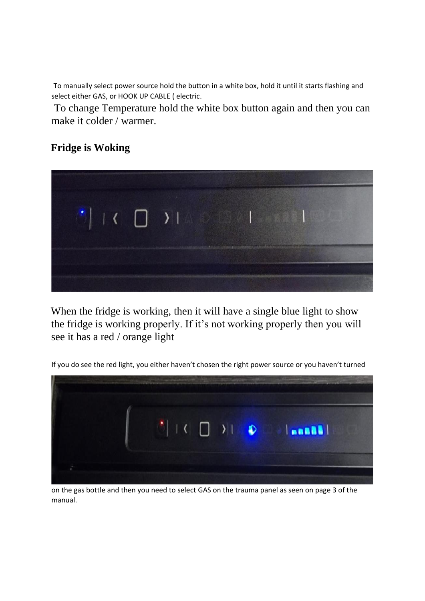To manually select power source hold the button in a white box, hold it until it starts flashing and select either GAS, or HOOK UP CABLE ( electric.

To change Temperature hold the white box button again and then you can make it colder / warmer.

## **Fridge is Woking**



When the fridge is working, then it will have a single blue light to show the fridge is working properly. If it's not working properly then you will see it has a red / orange light

If you do see the red light, you either haven't chosen the right power source or you haven't turned



on the gas bottle and then you need to select GAS on the trauma panel as seen on page 3 of the manual.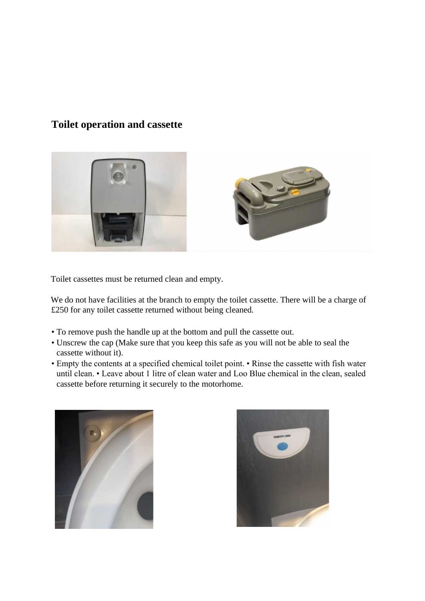## **Toilet operation and cassette**



Toilet cassettes must be returned clean and empty.

We do not have facilities at the branch to empty the toilet cassette. There will be a charge of £250 for any toilet cassette returned without being cleaned.

- To remove push the handle up at the bottom and pull the cassette out.
- Unscrew the cap (Make sure that you keep this safe as you will not be able to seal the cassette without it).
- Empty the contents at a specified chemical toilet point. Rinse the cassette with fish water until clean. • Leave about 1 litre of clean water and Loo Blue chemical in the clean, sealed cassette before returning it securely to the motorhome.



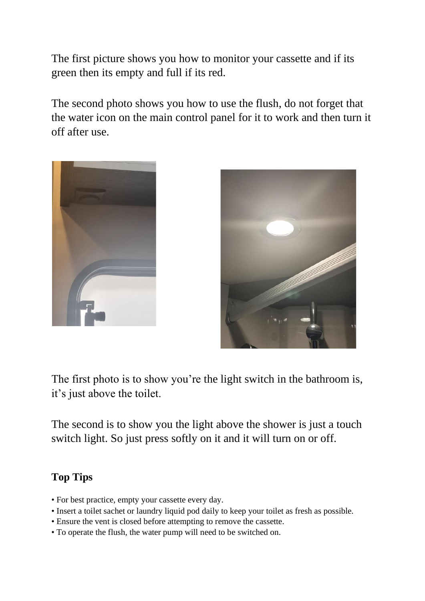The first picture shows you how to monitor your cassette and if its green then its empty and full if its red.

The second photo shows you how to use the flush, do not forget that the water icon on the main control panel for it to work and then turn it off after use.





The first photo is to show you're the light switch in the bathroom is, it's just above the toilet.

The second is to show you the light above the shower is just a touch switch light. So just press softly on it and it will turn on or off.

## **Top Tips**

- For best practice, empty your cassette every day.
- Insert a toilet sachet or laundry liquid pod daily to keep your toilet as fresh as possible.
- Ensure the vent is closed before attempting to remove the cassette.
- To operate the flush, the water pump will need to be switched on.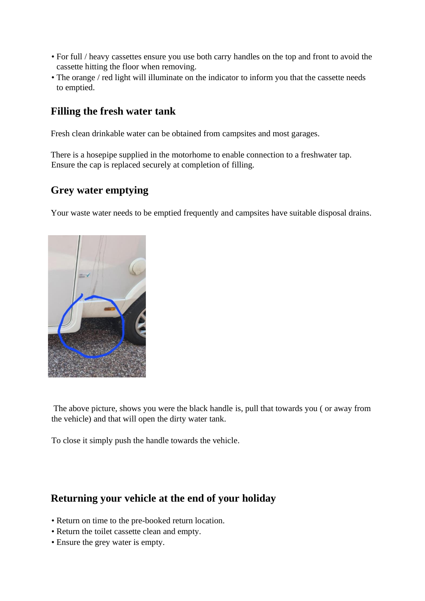- For full / heavy cassettes ensure you use both carry handles on the top and front to avoid the cassette hitting the floor when removing.
- The orange / red light will illuminate on the indicator to inform you that the cassette needs to emptied.

### **Filling the fresh water tank**

Fresh clean drinkable water can be obtained from campsites and most garages.

There is a hosepipe supplied in the motorhome to enable connection to a freshwater tap. Ensure the cap is replaced securely at completion of filling.

## **Grey water emptying**

Your waste water needs to be emptied frequently and campsites have suitable disposal drains.



The above picture, shows you were the black handle is, pull that towards you ( or away from the vehicle) and that will open the dirty water tank.

To close it simply push the handle towards the vehicle.

### **Returning your vehicle at the end of your holiday**

- Return on time to the pre-booked return location.
- Return the toilet cassette clean and empty.
- Ensure the grey water is empty.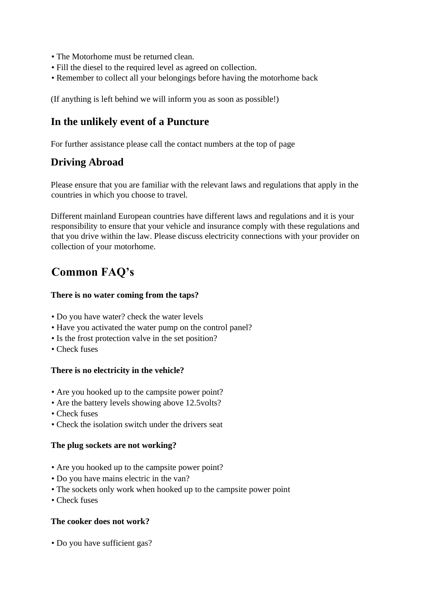- The Motorhome must be returned clean.
- Fill the diesel to the required level as agreed on collection.
- Remember to collect all your belongings before having the motorhome back

(If anything is left behind we will inform you as soon as possible!)

### **In the unlikely event of a Puncture**

For further assistance please call the contact numbers at the top of page

## **Driving Abroad**

Please ensure that you are familiar with the relevant laws and regulations that apply in the countries in which you choose to travel.

Different mainland European countries have different laws and regulations and it is your responsibility to ensure that your vehicle and insurance comply with these regulations and that you drive within the law. Please discuss electricity connections with your provider on collection of your motorhome.

# **Common FAQ's**

#### **There is no water coming from the taps?**

- Do you have water? check the water levels
- Have you activated the water pump on the control panel?
- Is the frost protection valve in the set position?
- Check fuses

#### **There is no electricity in the vehicle?**

- Are you hooked up to the campsite power point?
- Are the battery levels showing above 12.5volts?
- Check fuses
- Check the isolation switch under the drivers seat

#### **The plug sockets are not working?**

- Are you hooked up to the campsite power point?
- Do you have mains electric in the van?
- The sockets only work when hooked up to the campsite power point
- Check fuses

#### **The cooker does not work?**

• Do you have sufficient gas?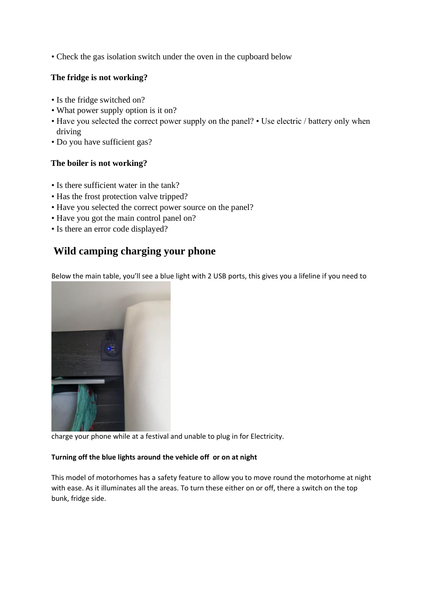• Check the gas isolation switch under the oven in the cupboard below

#### **The fridge is not working?**

- Is the fridge switched on?
- What power supply option is it on?
- Have you selected the correct power supply on the panel? Use electric / battery only when driving
- Do you have sufficient gas?

#### **The boiler is not working?**

- Is there sufficient water in the tank?
- Has the frost protection valve tripped?
- Have you selected the correct power source on the panel?
- Have you got the main control panel on?
- Is there an error code displayed?

## **Wild camping charging your phone**

Below the main table, you'll see a blue light with 2 USB ports, this gives you a lifeline if you need to



charge your phone while at a festival and unable to plug in for Electricity.

#### **Turning off the blue lights around the vehicle off or on at night**

This model of motorhomes has a safety feature to allow you to move round the motorhome at night with ease. As it illuminates all the areas. To turn these either on or off, there a switch on the top bunk, fridge side.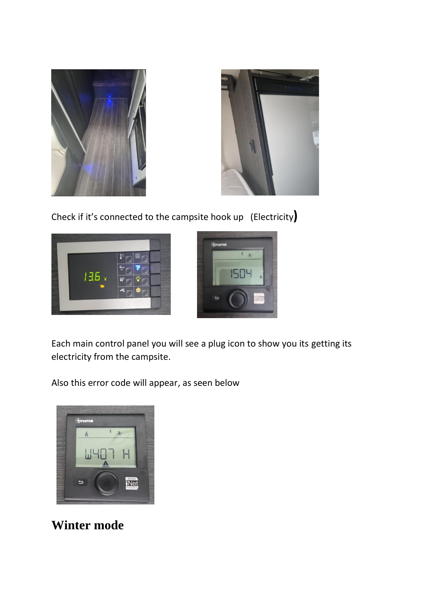



Check if it's connected to the campsite hook up (Electricity**)**





Each main control panel you will see a plug icon to show you its getting its electricity from the campsite.

Also this error code will appear, as seen below



**Winter mode**